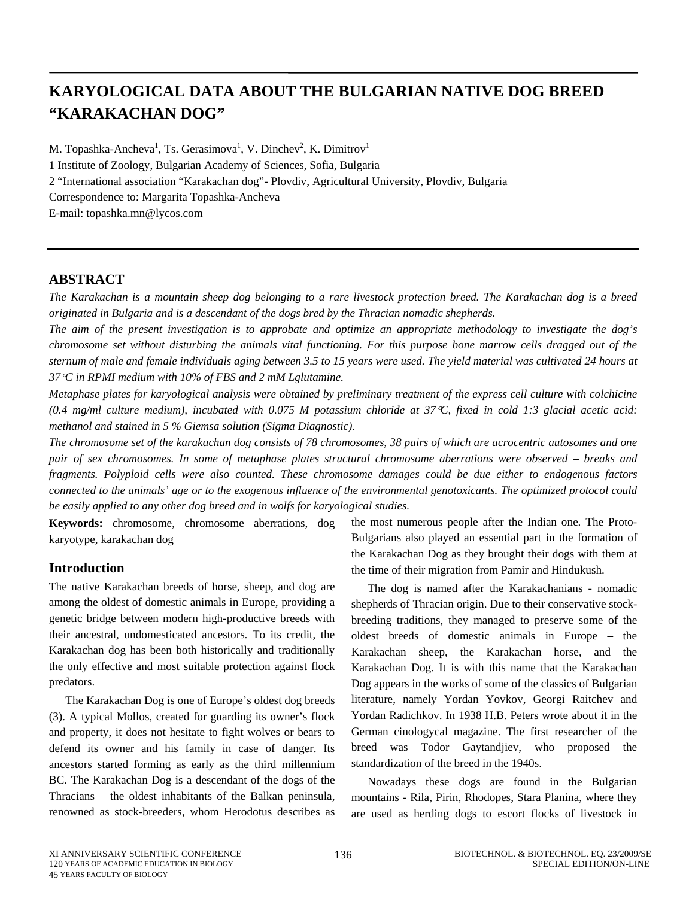# **KARYOLOGICAL DATA ABOUT THE BULGARIAN NATIVE DOG BREED "KARAKACHAN DOG"**

M. Topashka-Ancheva<sup>1</sup>, Ts. Gerasimova<sup>1</sup>, V. Dinchev<sup>2</sup>, K. Dimitrov<sup>1</sup> 1 Institute of Zoology, Bulgarian Academy of Sciences, Sofia, Bulgaria 2 "International association "Karakachan dog"- Plovdiv, Agricultural University, Plovdiv, Bulgaria Correspondence to: Margarita Topashka-Ancheva E-mail: topashka.mn@lycos.com

# **ABSTRACT**

*The Karakachan is a mountain [sheep dog](http://en.wikipedia.org/wiki/Sheep_dog) belonging to a rare [livestock](http://en.wikipedia.org/wiki/Livestock) protection breed. The Karakachan dog is a [breed](http://en.wikipedia.org/wiki/Dog_breed) originated in [Bulgaria](http://en.wikipedia.org/wiki/Bulgaria) and is a descendant of the dogs [bred](http://en.wikipedia.org/wiki/Dog_breed) by the [Thracian](http://en.wikipedia.org/wiki/Thracians) nomadic shepherds.* 

*The aim of the present investigation is to approbate and optimize an appropriate methodology to investigate the dog's chromosome set without disturbing the animals vital functioning. For this purpose bone marrow cells dragged out of the sternum of male and female individuals aging between 3.5 to 15 years were used. The yield material was cultivated 24 hours at 37*°*C in RPMI medium with 10% of FBS and 2 mM Lglutamine.* 

*Metaphase plates for karyological analysis were obtained by preliminary treatment of the express cell culture with colchicine (0.4 mg/ml culture medium), incubated with 0.075 M potassium chloride at 37*°*C, fixed in cold 1:3 glacial acetic acid: methanol and stained in 5 % Giemsa solution (Sigma Diagnostic).* 

*The chromosome set of the karakachan dog consists of 78 chromosomes, 38 pairs of which are acrocentric autosomes and one pair of sex chromosomes. In some of metaphase plates structural chromosome aberrations were observed – breaks and fragments. Polyploid cells were also counted. These chromosome damages could be due either to endogenous factors connected to the animals' age or to the exogenous influence of the environmental genotoxicants. The optimized protocol could be easily applied to any other dog breed and in wolfs for karyological studies.* 

**Keywords:** chromosome, chromosome aberrations, dog karyotype, karakachan dog

# **Introduction**

The native Karakachan breeds of horse, sheep, and dog are among the oldest of domestic animals in Europe, providing a genetic bridge between modern high-productive breeds with their ancestral, undomesticated ancestors. To its credit, the Karakachan dog has been both historically and traditionally the only effective and most suitable protection against flock predators.

The Karakachan Dog is one of Europe's oldest dog breeds (3). A typical Mollos, created for guarding its owner's flock and property, it does not hesitate to fight wolves or bears to defend its owner and his family in case of danger. Its ancestors started forming as early as the third millennium BC. The Karakachan Dog is a descendant of the dogs of the Thracians – the oldest inhabitants of the Balkan peninsula, renowned as stock-breeders, whom Herodotus describes as the most numerous people after the Indian one. The Proto-Bulgarians also played an essential part in the formation of the Karakachan Dog as they brought their dogs with them at the time of their migration from Pamir and Hindukush.

The dog is named after the Karakachanians - nomadic shepherds of Thracian origin. Due to their conservative stockbreeding traditions, they managed to preserve some of the oldest breeds of domestic animals in Europe – the Karakachan sheep, the Karakachan horse, and the Karakachan Dog. It is with this name that the Karakachan Dog appears in the works of some of the classics of Bulgarian literature, namely Yordan Yovkov, Georgi Raitchev and Yordan Radichkov. In 1938 H.B. Peters wrote about it in the German cinologycal magazine. The first researcher of the breed was Todor Gaytandjiev, who proposed the standardization of the breed in the 1940s.

Nowadays these dogs are found in the Bulgarian mountains - Rila, Pirin, Rhodopes, Stara Planina, where they are used as [herding dogs](http://en.wikipedia.org/wiki/Herding_dogs) to escort flocks of livestock in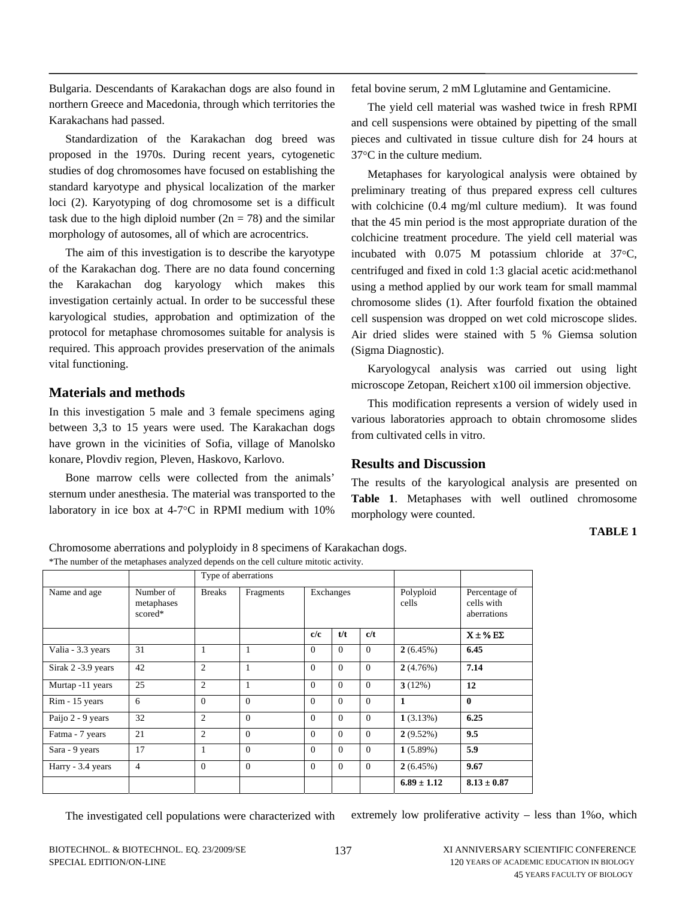Bulgaria. Descendants of Karakachan dogs are also found in northern Greece and Macedonia, through which territories the Karakachans had passed.

Standardization of the Karakachan dog breed was proposed in the 1970s. During recent years, cytogenetic studies of dog chromosomes have focused on establishing the standard karyotype and physical localization of the marker loci (2). Karyotyping of dog chromosome set is a difficult task due to the high diploid number  $(2n = 78)$  and the similar morphology of autosomes, all of which are acrocentrics.

The aim of this investigation is to describe the karyotype of the Karakachan dog. There are no data found concerning the Karakachan dog karyology which makes this investigation certainly actual. In order to be successful these karyological studies, approbation and optimization of the protocol for metaphase chromosomes suitable for analysis is required. This approach provides preservation of the animals vital functioning.

## **Materials and methods**

In this investigation 5 male and 3 female specimens aging between 3,3 to 15 years were used. The Karakachan dogs have grown in the vicinities of Sofia, village of Manolsko konare, Plovdiv region, Pleven, Haskovo, Karlovo.

Bone marrow cells were collected from the animals' sternum under anesthesia. The material was transported to the laboratory in ice box at 4-7°C in RPMI medium with 10%

fetal bovine serum, 2 mM Lglutamine and Gentamicine.

The yield cell material was washed twice in fresh RPMI and cell suspensions were obtained by pipetting of the small pieces and cultivated in tissue culture dish for 24 hours at 37°C in the culture medium.

Metaphases for karyological analysis were obtained by preliminary treating of thus prepared express cell cultures with colchicine (0.4 mg/ml culture medium). It was found that the 45 min period is the most appropriate duration of the colchicine treatment procedure. The yield cell material was incubated with 0.075 M potassium chloride at 37°C, centrifuged and fixed in cold 1:3 glacial acetic acid:methanol using a method applied by our work team for small mammal chromosome slides (1). After fourfold fixation the obtained cell suspension was dropped on wet cold microscope slides. Air dried slides were stained with 5 % Giemsa solution (Sigma Diagnostic).

Karyologycal analysis was carried out using light microscope Zetopan, Reichert x100 oil immersion objective.

This modification represents a version of widely used in various laboratories approach to obtain chromosome slides from cultivated cells in vitro.

### **Results and Discussion**

The results of the karyological analysis are presented on **Table 1**. Metaphases with well outlined chromosome morphology were counted.

#### **TABLE 1**

Chromosome aberrations and polyploidy in 8 specimens of Karakachan dogs. \*The number of the metaphases analyzed depends on the cell culture mitotic activity.

|                    |                                    | Type of aberrations |              |           |          |          |                    |                                            |
|--------------------|------------------------------------|---------------------|--------------|-----------|----------|----------|--------------------|--------------------------------------------|
| Name and age       | Number of<br>metaphases<br>scored* | <b>Breaks</b>       | Fragments    | Exchanges |          |          | Polyploid<br>cells | Percentage of<br>cells with<br>aberrations |
|                    |                                    |                     |              | c/c       | t/t      | c/t      |                    | $X \pm \% E\Sigma$                         |
| Valia - 3.3 years  | 31                                 | 1                   | 1            | $\Omega$  | $\Omega$ | $\Omega$ | 2(6.45%)           | 6.45                                       |
| Sirak 2 -3.9 years | 42                                 | $\overline{2}$      | 1            | $\Omega$  | $\Omega$ | $\Omega$ | 2(4.76%)           | 7.14                                       |
| Murtap -11 years   | 25                                 | $\overline{c}$      | 1            | $\Omega$  | $\Omega$ | $\Omega$ | 3(12%)             | 12                                         |
| Rim - 15 years     | 6                                  | $\theta$            | $\mathbf{0}$ | $\Omega$  | $\Omega$ | $\Omega$ | $\mathbf{1}$       | $\mathbf{0}$                               |
| Paijo 2 - 9 years  | 32                                 | $\overline{2}$      | $\Omega$     | $\Omega$  | $\Omega$ | $\Omega$ | 1(3.13%)           | 6.25                                       |
| Fatma - 7 years    | 21                                 | $\overline{c}$      | $\Omega$     | $\Omega$  | $\Omega$ | $\Omega$ | 2(9.52%)           | 9.5                                        |
| Sara - 9 years     | 17                                 | 1                   | $\Omega$     | $\Omega$  | $\Omega$ | $\Omega$ | 1(5.89%)           | 5.9                                        |
| Harry - 3.4 years  | $\overline{4}$                     | $\Omega$            | $\Omega$     | $\Omega$  | $\Omega$ | $\Omega$ | 2(6.45%)           | 9.67                                       |
|                    |                                    |                     |              |           |          |          | $6.89 \pm 1.12$    | $8.13 \pm 0.87$                            |

The investigated cell populations were characterized with extremely low proliferative activity – less than 1%o, which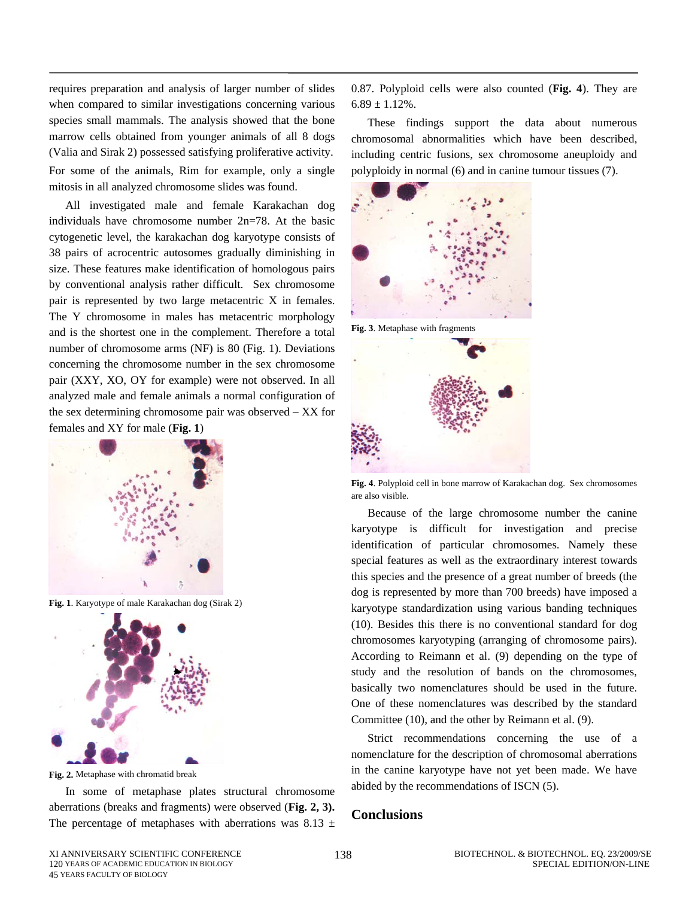requires preparation and analysis of larger number of slides when compared to similar investigations concerning various species small mammals. The analysis showed that the bone marrow cells obtained from younger animals of all 8 dogs (Valia and Sirak 2) possessed satisfying proliferative activity. For some of the animals, Rim for example, only a single mitosis in all analyzed chromosome slides was found.

All investigated male and female Karakachan dog individuals have chromosome number 2n=78. At the basic cytogenetic level, the karakachan dog karyotype consists of 38 pairs of acrocentric autosomes gradually diminishing in size. These features make identification of homologous pairs by conventional analysis rather difficult. Sex chromosome pair is represented by two large metacentric X in females. The Y chromosome in males has metacentric morphology and is the shortest one in the complement. Therefore a total number of chromosome arms (NF) is 80 (Fig. 1). Deviations concerning the chromosome number in the sex chromosome pair (XXY, XO, OY for example) were not observed. In all analyzed male and female animals a normal configuration of the sex determining chromosome pair was observed – XX for females and XY for male (**Fig. 1**)



**Fig. 1**. Karyotype of male Karakachan dog (Sirak 2)



**Fig. 2.** Metaphase with chromatid break

In some of metaphase plates structural chromosome aberrations (breaks and fragments) were observed (**Fig. 2, 3).** The percentage of metaphases with aberrations was 8.13  $\pm$  0.87. Polyploid cells were also counted (**Fig. 4**). They are  $6.89 \pm 1.12\%$ .

These findings support the data about numerous chromosomal abnormalities which have been described, including centric fusions, sex chromosome aneuploidy and polyploidy in normal (6) and in canine tumour tissues (7).



**Fig. 3**. Metaphase with fragments



**Fig. 4**. Polyploid cell in bone marrow of Karakachan dog. Sex chromosomes are also visible.

Because of the large chromosome number the canine karyotype is difficult for investigation and precise identification of particular chromosomes. Namely these special features as well as the extraordinary interest towards this species and the presence of a great number of breeds (the dog is represented by more than 700 breeds) have imposed a karyotype standardization using various banding techniques (10). Besides this there is no conventional standard for dog chromosomes karyotyping (arranging of chromosome pairs). According to Reimann et al. (9) depending on the type of study and the resolution of bands on the chromosomes, basically two nomenclatures should be used in the future. One of these nomenclatures was described by the standard Committee (10), and the other by Reimann et al. (9).

Strict recommendations concerning the use of a nomenclature for the description of chromosomal aberrations in the canine karyotype have not yet been made. We have abided by the recommendations of ISCN (5).

## **Conclusions**